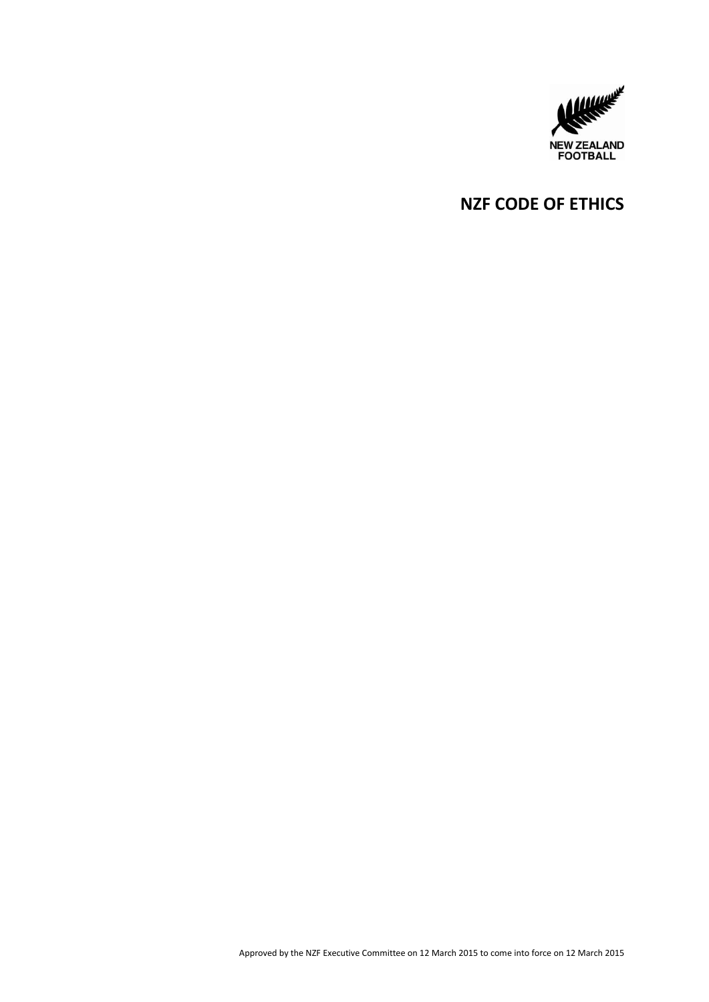

# **NZF CODE OF ETHICS**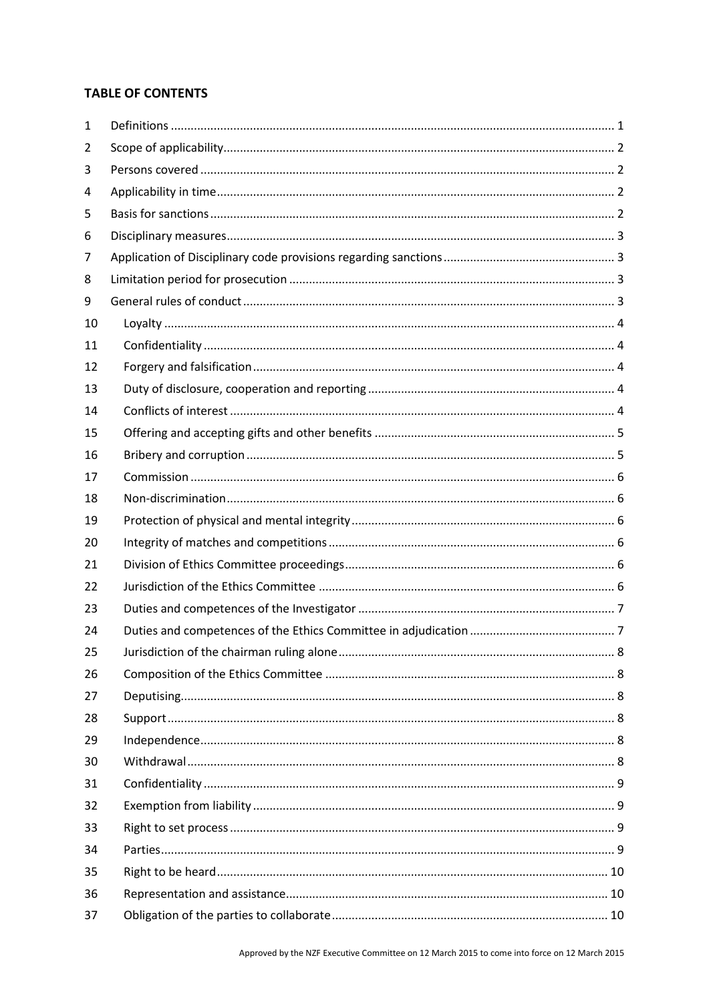# **TABLE OF CONTENTS**

| 1  |  |
|----|--|
| 2  |  |
| 3  |  |
| 4  |  |
| 5  |  |
| 6  |  |
| 7  |  |
| 8  |  |
| 9  |  |
| 10 |  |
| 11 |  |
| 12 |  |
| 13 |  |
| 14 |  |
| 15 |  |
| 16 |  |
| 17 |  |
| 18 |  |
| 19 |  |
| 20 |  |
| 21 |  |
| 22 |  |
| 23 |  |
| 24 |  |
| 25 |  |
| 26 |  |
| 27 |  |
| 28 |  |
| 29 |  |
| 30 |  |
| 31 |  |
| 32 |  |
| 33 |  |
| 34 |  |
| 35 |  |
| 36 |  |
| 37 |  |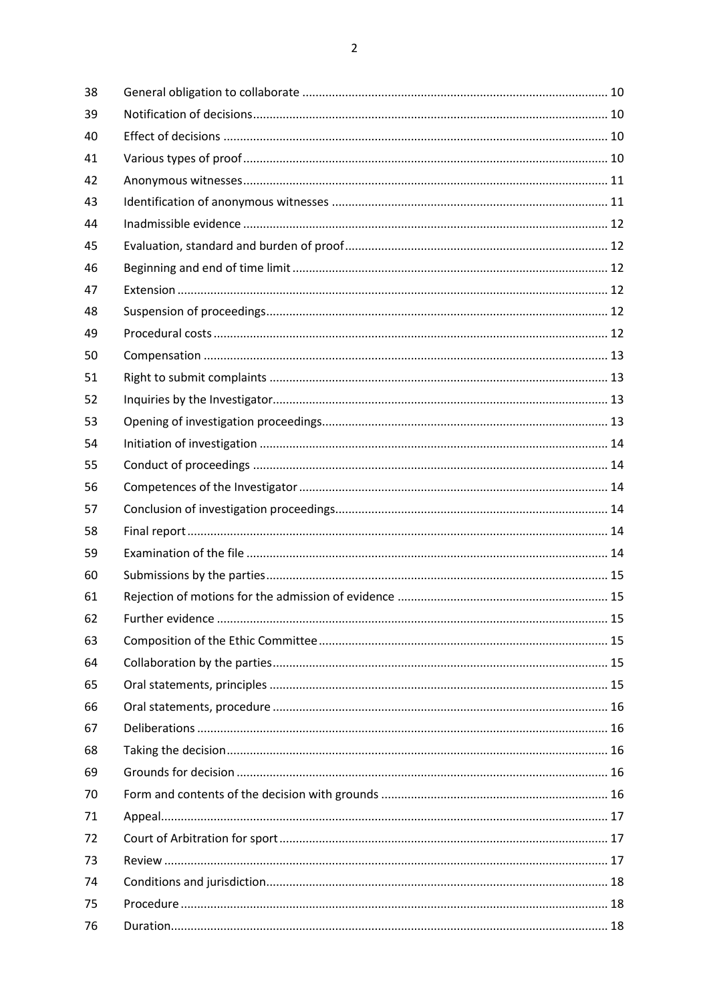| 38 |  |
|----|--|
| 39 |  |
| 40 |  |
| 41 |  |
| 42 |  |
| 43 |  |
| 44 |  |
| 45 |  |
| 46 |  |
| 47 |  |
| 48 |  |
| 49 |  |
| 50 |  |
| 51 |  |
| 52 |  |
| 53 |  |
| 54 |  |
| 55 |  |
| 56 |  |
| 57 |  |
| 58 |  |
| 59 |  |
| 60 |  |
| 61 |  |
| 62 |  |
| 63 |  |
| 64 |  |
| 65 |  |
| 66 |  |
| 67 |  |
| 68 |  |
| 69 |  |
| 70 |  |
| 71 |  |
| 72 |  |
| 73 |  |
| 74 |  |
| 75 |  |
| 76 |  |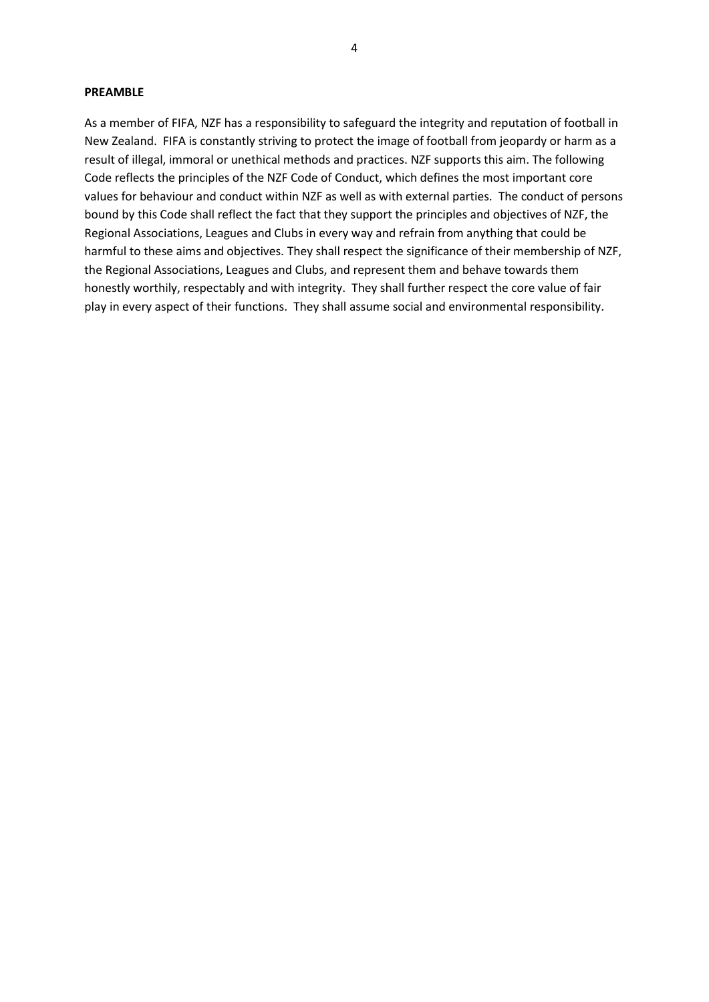#### **PREAMBLE**

As a member of FIFA, NZF has a responsibility to safeguard the integrity and reputation of football in New Zealand. FIFA is constantly striving to protect the image of football from jeopardy or harm as a result of illegal, immoral or unethical methods and practices. NZF supports this aim. The following Code reflects the principles of the NZF Code of Conduct, which defines the most important core values for behaviour and conduct within NZF as well as with external parties. The conduct of persons bound by this Code shall reflect the fact that they support the principles and objectives of NZF, the Regional Associations, Leagues and Clubs in every way and refrain from anything that could be harmful to these aims and objectives. They shall respect the significance of their membership of NZF, the Regional Associations, Leagues and Clubs, and represent them and behave towards them honestly worthily, respectably and with integrity. They shall further respect the core value of fair play in every aspect of their functions. They shall assume social and environmental responsibility.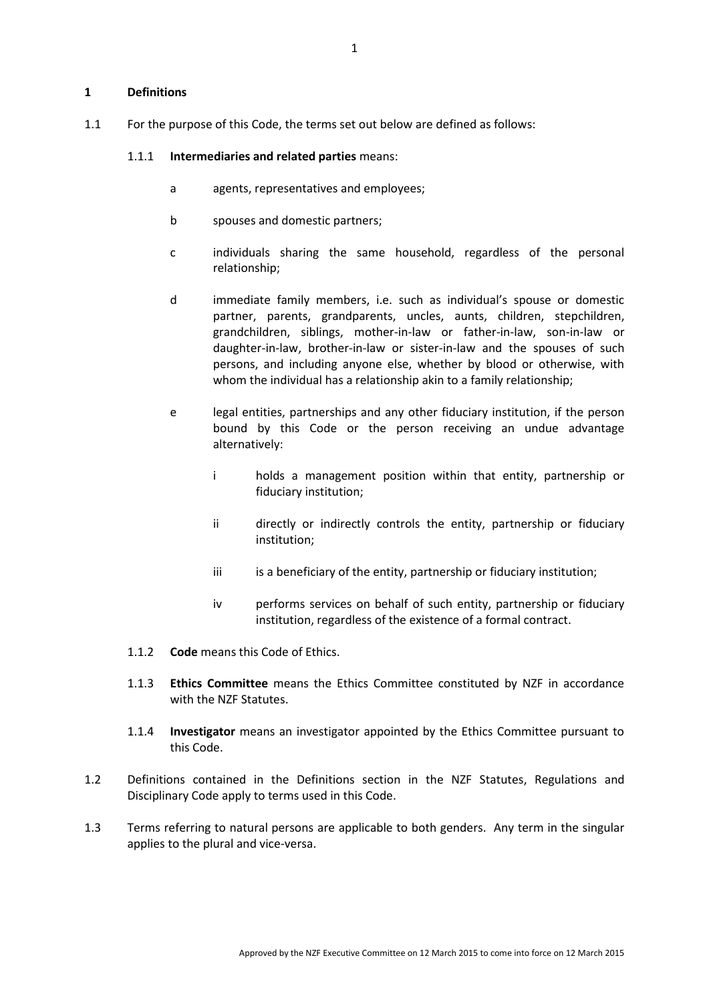#### <span id="page-5-0"></span>**1 Definitions**

1.1 For the purpose of this Code, the terms set out below are defined as follows:

#### 1.1.1 **Intermediaries and related parties** means:

- a agents, representatives and employees;
- b spouses and domestic partners;
- c individuals sharing the same household, regardless of the personal relationship;
- d immediate family members, i.e. such as individual's spouse or domestic partner, parents, grandparents, uncles, aunts, children, stepchildren, grandchildren, siblings, mother-in-law or father-in-law, son-in-law or daughter-in-law, brother-in-law or sister-in-law and the spouses of such persons, and including anyone else, whether by blood or otherwise, with whom the individual has a relationship akin to a family relationship;
- e legal entities, partnerships and any other fiduciary institution, if the person bound by this Code or the person receiving an undue advantage alternatively:
	- i holds a management position within that entity, partnership or fiduciary institution;
	- ii directly or indirectly controls the entity, partnership or fiduciary institution;
	- iii is a beneficiary of the entity, partnership or fiduciary institution;
	- iv performs services on behalf of such entity, partnership or fiduciary institution, regardless of the existence of a formal contract.
- 1.1.2 **Code** means this Code of Ethics.
- 1.1.3 **Ethics Committee** means the Ethics Committee constituted by NZF in accordance with the NZF Statutes.
- 1.1.4 **Investigator** means an investigator appointed by the Ethics Committee pursuant to this Code.
- 1.2 Definitions contained in the Definitions section in the NZF Statutes, Regulations and Disciplinary Code apply to terms used in this Code.
- 1.3 Terms referring to natural persons are applicable to both genders. Any term in the singular applies to the plural and vice-versa.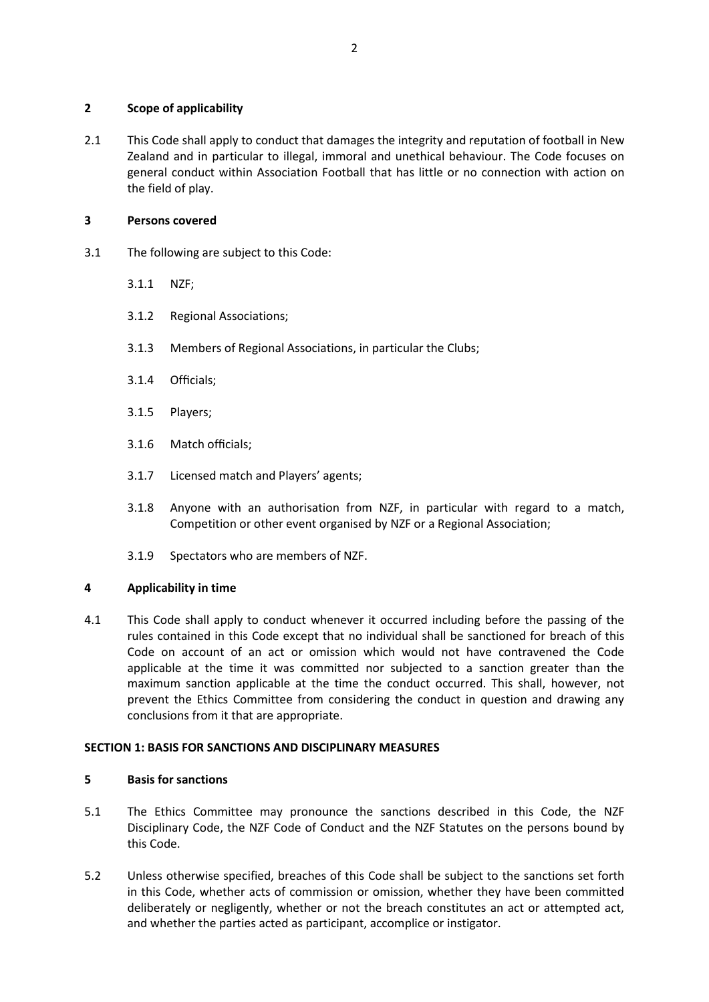### <span id="page-6-0"></span>**2 Scope of applicability**

2.1 This Code shall apply to conduct that damages the integrity and reputation of football in New Zealand and in particular to illegal, immoral and unethical behaviour. The Code focuses on general conduct within Association Football that has little or no connection with action on the field of play.

# <span id="page-6-1"></span>**3 Persons covered**

- 3.1 The following are subject to this Code:
	- 3.1.1 NZF;
	- 3.1.2 Regional Associations;
	- 3.1.3 Members of Regional Associations, in particular the Clubs;
	- 3.1.4 Officials;
	- 3.1.5 Players;
	- 3.1.6 Match officials;
	- 3.1.7 Licensed match and Players' agents;
	- 3.1.8 Anyone with an authorisation from NZF, in particular with regard to a match, Competition or other event organised by NZF or a Regional Association;
	- 3.1.9 Spectators who are members of NZF.

# <span id="page-6-2"></span>**4 Applicability in time**

4.1 This Code shall apply to conduct whenever it occurred including before the passing of the rules contained in this Code except that no individual shall be sanctioned for breach of this Code on account of an act or omission which would not have contravened the Code applicable at the time it was committed nor subjected to a sanction greater than the maximum sanction applicable at the time the conduct occurred. This shall, however, not prevent the Ethics Committee from considering the conduct in question and drawing any conclusions from it that are appropriate.

# **SECTION 1: BASIS FOR SANCTIONS AND DISCIPLINARY MEASURES**

# <span id="page-6-3"></span>**5 Basis for sanctions**

- 5.1 The Ethics Committee may pronounce the sanctions described in this Code, the NZF Disciplinary Code, the NZF Code of Conduct and the NZF Statutes on the persons bound by this Code.
- 5.2 Unless otherwise specified, breaches of this Code shall be subject to the sanctions set forth in this Code, whether acts of commission or omission, whether they have been committed deliberately or negligently, whether or not the breach constitutes an act or attempted act, and whether the parties acted as participant, accomplice or instigator.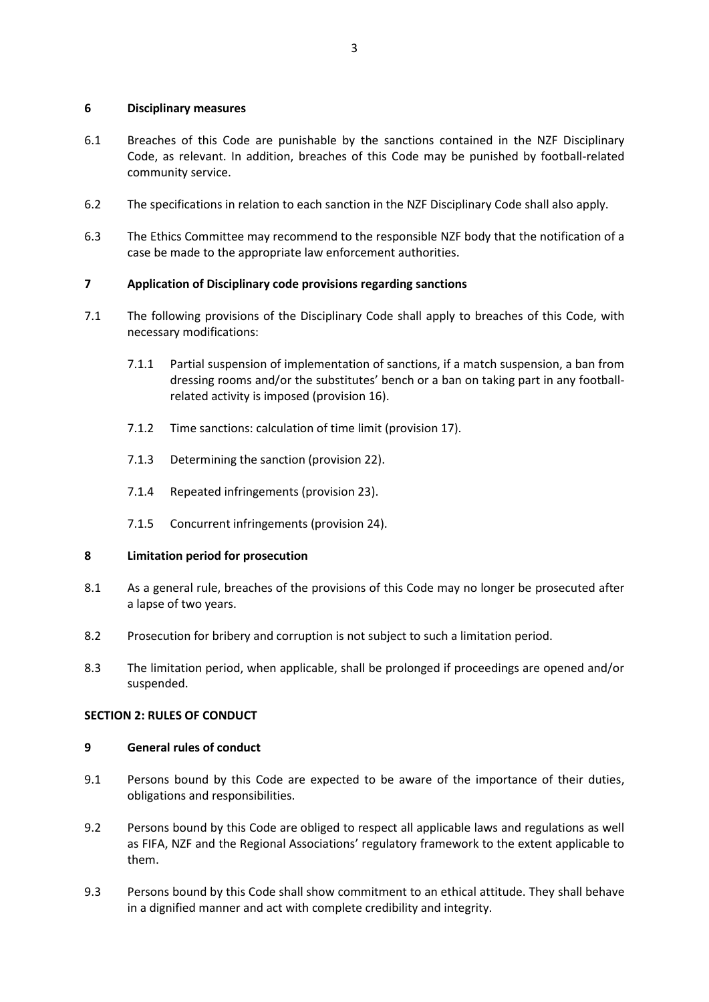#### <span id="page-7-0"></span>**6 Disciplinary measures**

- 6.1 Breaches of this Code are punishable by the sanctions contained in the NZF Disciplinary Code, as relevant. In addition, breaches of this Code may be punished by football-related community service.
- 6.2 The specifications in relation to each sanction in the NZF Disciplinary Code shall also apply.
- 6.3 The Ethics Committee may recommend to the responsible NZF body that the notification of a case be made to the appropriate law enforcement authorities.

## <span id="page-7-1"></span>**7 Application of Disciplinary code provisions regarding sanctions**

- 7.1 The following provisions of the Disciplinary Code shall apply to breaches of this Code, with necessary modifications:
	- 7.1.1 Partial suspension of implementation of sanctions, if a match suspension, a ban from dressing rooms and/or the substitutes' bench or a ban on taking part in any footballrelated activity is imposed (provision 16).
	- 7.1.2 Time sanctions: calculation of time limit (provision 17).
	- 7.1.3 Determining the sanction (provision 22).
	- 7.1.4 Repeated infringements (provision 23).
	- 7.1.5 Concurrent infringements (provision 24).

### <span id="page-7-2"></span>**8 Limitation period for prosecution**

- 8.1 As a general rule, breaches of the provisions of this Code may no longer be prosecuted after a lapse of two years.
- 8.2 Prosecution for bribery and corruption is not subject to such a limitation period.
- 8.3 The limitation period, when applicable, shall be prolonged if proceedings are opened and/or suspended.

### **SECTION 2: RULES OF CONDUCT**

### <span id="page-7-3"></span>**9 General rules of conduct**

- 9.1 Persons bound by this Code are expected to be aware of the importance of their duties, obligations and responsibilities.
- 9.2 Persons bound by this Code are obliged to respect all applicable laws and regulations as well as FIFA, NZF and the Regional Associations' regulatory framework to the extent applicable to them.
- 9.3 Persons bound by this Code shall show commitment to an ethical attitude. They shall behave in a dignified manner and act with complete credibility and integrity.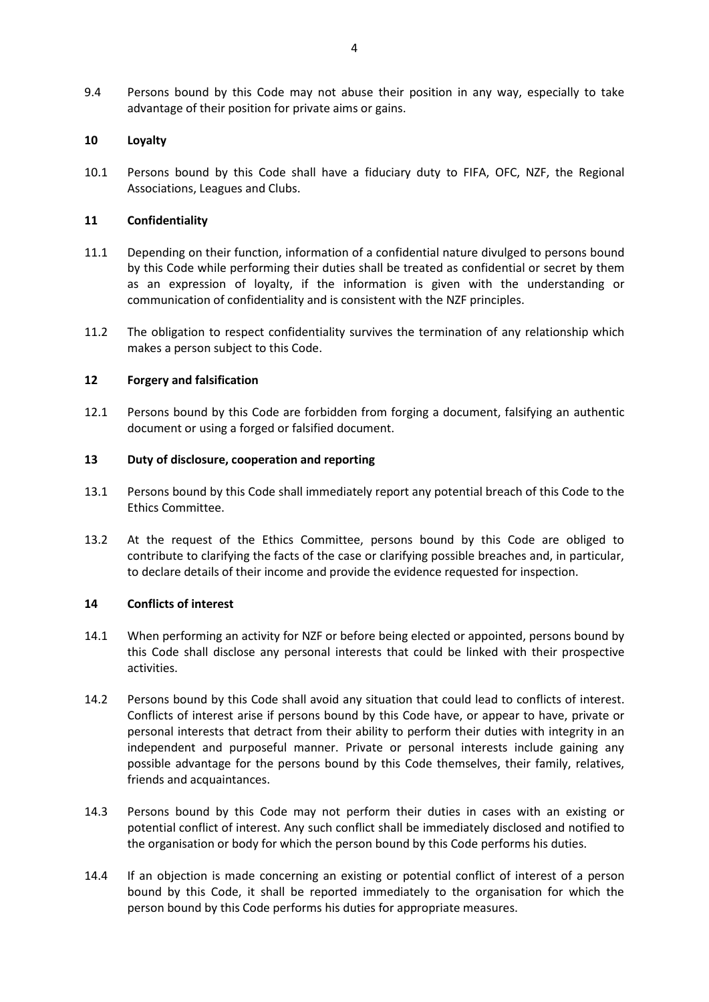9.4 Persons bound by this Code may not abuse their position in any way, especially to take advantage of their position for private aims or gains.

### <span id="page-8-0"></span>**10 Loyalty**

10.1 Persons bound by this Code shall have a fiduciary duty to FIFA, OFC, NZF, the Regional Associations, Leagues and Clubs.

#### <span id="page-8-1"></span>**11 Confidentiality**

- 11.1 Depending on their function, information of a confidential nature divulged to persons bound by this Code while performing their duties shall be treated as confidential or secret by them as an expression of loyalty, if the information is given with the understanding or communication of confidentiality and is consistent with the NZF principles.
- 11.2 The obligation to respect confidentiality survives the termination of any relationship which makes a person subject to this Code.

#### <span id="page-8-2"></span>**12 Forgery and falsification**

12.1 Persons bound by this Code are forbidden from forging a document, falsifying an authentic document or using a forged or falsified document.

#### <span id="page-8-3"></span>**13 Duty of disclosure, cooperation and reporting**

- 13.1 Persons bound by this Code shall immediately report any potential breach of this Code to the Ethics Committee.
- 13.2 At the request of the Ethics Committee, persons bound by this Code are obliged to contribute to clarifying the facts of the case or clarifying possible breaches and, in particular, to declare details of their income and provide the evidence requested for inspection.

### <span id="page-8-4"></span>**14 Conflicts of interest**

- 14.1 When performing an activity for NZF or before being elected or appointed, persons bound by this Code shall disclose any personal interests that could be linked with their prospective activities.
- 14.2 Persons bound by this Code shall avoid any situation that could lead to conflicts of interest. Conflicts of interest arise if persons bound by this Code have, or appear to have, private or personal interests that detract from their ability to perform their duties with integrity in an independent and purposeful manner. Private or personal interests include gaining any possible advantage for the persons bound by this Code themselves, their family, relatives, friends and acquaintances.
- 14.3 Persons bound by this Code may not perform their duties in cases with an existing or potential conflict of interest. Any such conflict shall be immediately disclosed and notified to the organisation or body for which the person bound by this Code performs his duties.
- 14.4 If an objection is made concerning an existing or potential conflict of interest of a person bound by this Code, it shall be reported immediately to the organisation for which the person bound by this Code performs his duties for appropriate measures.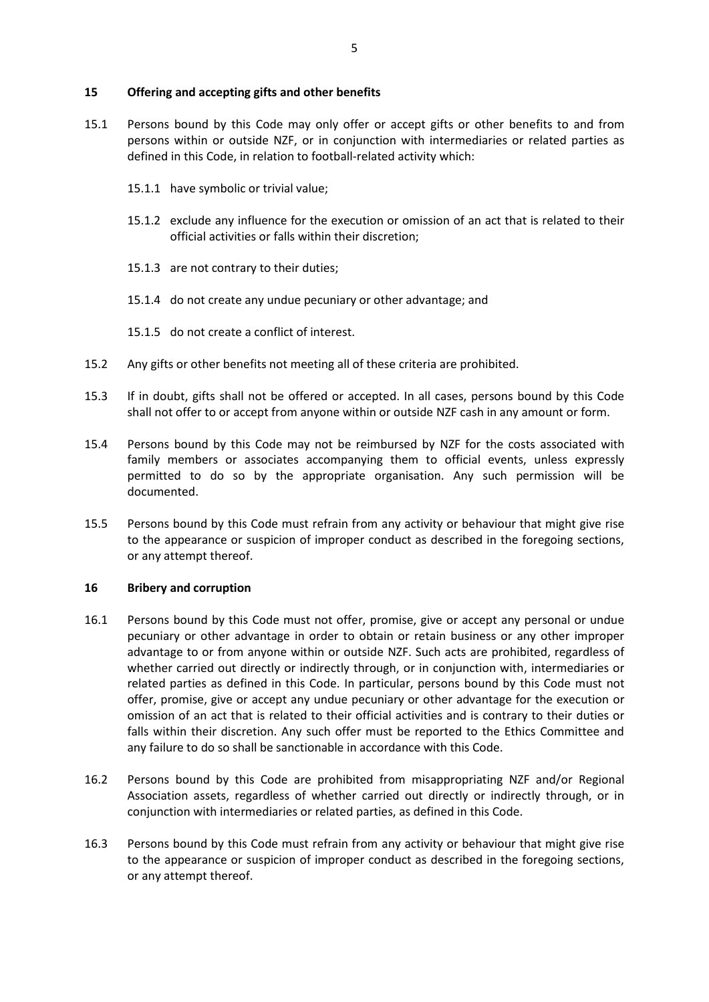#### <span id="page-9-0"></span>**15 Offering and accepting gifts and other benefits**

- 15.1 Persons bound by this Code may only offer or accept gifts or other benefits to and from persons within or outside NZF, or in conjunction with intermediaries or related parties as defined in this Code, in relation to football-related activity which:
	- 15.1.1 have symbolic or trivial value;
	- 15.1.2 exclude any influence for the execution or omission of an act that is related to their official activities or falls within their discretion;
	- 15.1.3 are not contrary to their duties;
	- 15.1.4 do not create any undue pecuniary or other advantage; and
	- 15.1.5 do not create a conflict of interest.
- 15.2 Any gifts or other benefits not meeting all of these criteria are prohibited.
- 15.3 If in doubt, gifts shall not be offered or accepted. In all cases, persons bound by this Code shall not offer to or accept from anyone within or outside NZF cash in any amount or form.
- 15.4 Persons bound by this Code may not be reimbursed by NZF for the costs associated with family members or associates accompanying them to official events, unless expressly permitted to do so by the appropriate organisation. Any such permission will be documented.
- 15.5 Persons bound by this Code must refrain from any activity or behaviour that might give rise to the appearance or suspicion of improper conduct as described in the foregoing sections, or any attempt thereof.

#### <span id="page-9-1"></span>**16 Bribery and corruption**

- 16.1 Persons bound by this Code must not offer, promise, give or accept any personal or undue pecuniary or other advantage in order to obtain or retain business or any other improper advantage to or from anyone within or outside NZF. Such acts are prohibited, regardless of whether carried out directly or indirectly through, or in conjunction with, intermediaries or related parties as defined in this Code. In particular, persons bound by this Code must not offer, promise, give or accept any undue pecuniary or other advantage for the execution or omission of an act that is related to their official activities and is contrary to their duties or falls within their discretion. Any such offer must be reported to the Ethics Committee and any failure to do so shall be sanctionable in accordance with this Code.
- 16.2 Persons bound by this Code are prohibited from misappropriating NZF and/or Regional Association assets, regardless of whether carried out directly or indirectly through, or in conjunction with intermediaries or related parties, as defined in this Code.
- 16.3 Persons bound by this Code must refrain from any activity or behaviour that might give rise to the appearance or suspicion of improper conduct as described in the foregoing sections, or any attempt thereof.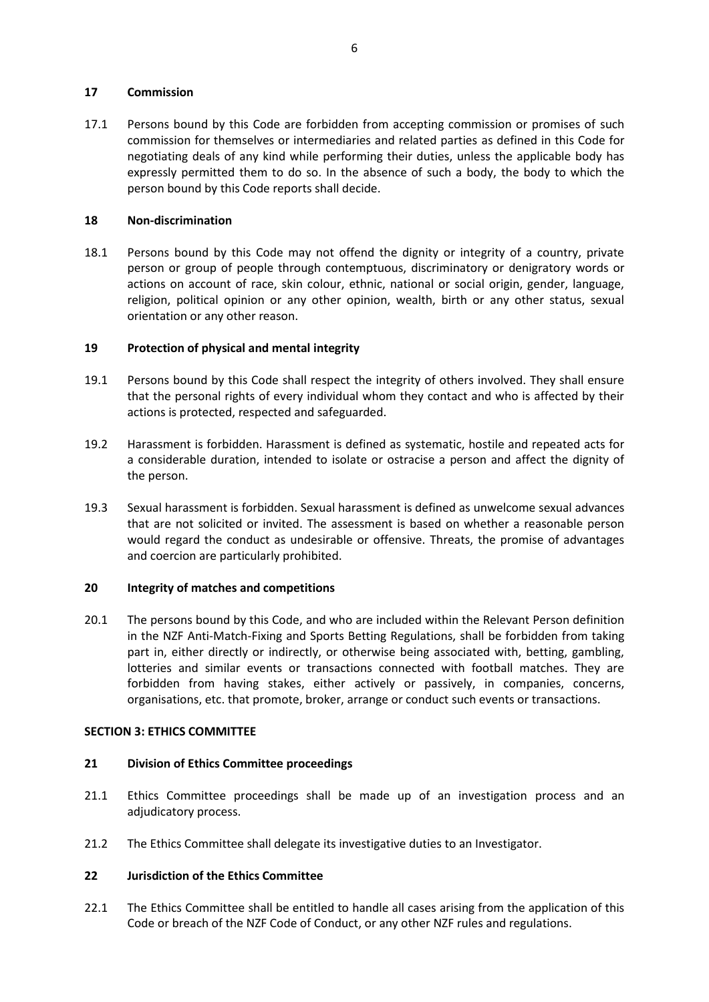### <span id="page-10-0"></span>**17 Commission**

17.1 Persons bound by this Code are forbidden from accepting commission or promises of such commission for themselves or intermediaries and related parties as defined in this Code for negotiating deals of any kind while performing their duties, unless the applicable body has expressly permitted them to do so. In the absence of such a body, the body to which the person bound by this Code reports shall decide.

#### <span id="page-10-1"></span>**18 Non-discrimination**

18.1 Persons bound by this Code may not offend the dignity or integrity of a country, private person or group of people through contemptuous, discriminatory or denigratory words or actions on account of race, skin colour, ethnic, national or social origin, gender, language, religion, political opinion or any other opinion, wealth, birth or any other status, sexual orientation or any other reason.

### <span id="page-10-2"></span>**19 Protection of physical and mental integrity**

- 19.1 Persons bound by this Code shall respect the integrity of others involved. They shall ensure that the personal rights of every individual whom they contact and who is affected by their actions is protected, respected and safeguarded.
- 19.2 Harassment is forbidden. Harassment is defined as systematic, hostile and repeated acts for a considerable duration, intended to isolate or ostracise a person and affect the dignity of the person.
- 19.3 Sexual harassment is forbidden. Sexual harassment is defined as unwelcome sexual advances that are not solicited or invited. The assessment is based on whether a reasonable person would regard the conduct as undesirable or offensive. Threats, the promise of advantages and coercion are particularly prohibited.

#### <span id="page-10-3"></span>**20 Integrity of matches and competitions**

20.1 The persons bound by this Code, and who are included within the Relevant Person definition in the NZF Anti-Match-Fixing and Sports Betting Regulations, shall be forbidden from taking part in, either directly or indirectly, or otherwise being associated with, betting, gambling, lotteries and similar events or transactions connected with football matches. They are forbidden from having stakes, either actively or passively, in companies, concerns, organisations, etc. that promote, broker, arrange or conduct such events or transactions.

#### **SECTION 3: ETHICS COMMITTEE**

### <span id="page-10-4"></span>**21 Division of Ethics Committee proceedings**

- 21.1 Ethics Committee proceedings shall be made up of an investigation process and an adjudicatory process.
- 21.2 The Ethics Committee shall delegate its investigative duties to an Investigator.

#### <span id="page-10-5"></span>**22 Jurisdiction of the Ethics Committee**

22.1 The Ethics Committee shall be entitled to handle all cases arising from the application of this Code or breach of the NZF Code of Conduct, or any other NZF rules and regulations.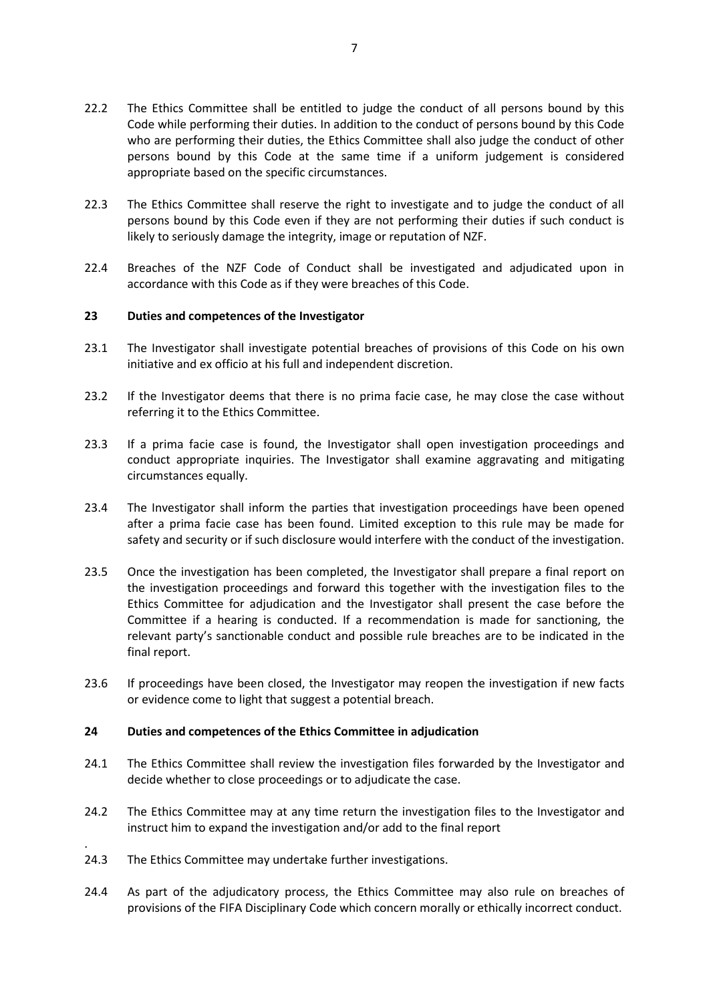- 22.2 The Ethics Committee shall be entitled to judge the conduct of all persons bound by this Code while performing their duties. In addition to the conduct of persons bound by this Code who are performing their duties, the Ethics Committee shall also judge the conduct of other persons bound by this Code at the same time if a uniform judgement is considered appropriate based on the specific circumstances.
- 22.3 The Ethics Committee shall reserve the right to investigate and to judge the conduct of all persons bound by this Code even if they are not performing their duties if such conduct is likely to seriously damage the integrity, image or reputation of NZF.
- 22.4 Breaches of the NZF Code of Conduct shall be investigated and adjudicated upon in accordance with this Code as if they were breaches of this Code.

### <span id="page-11-0"></span>**23 Duties and competences of the Investigator**

- 23.1 The Investigator shall investigate potential breaches of provisions of this Code on his own initiative and ex officio at his full and independent discretion.
- 23.2 If the Investigator deems that there is no prima facie case, he may close the case without referring it to the Ethics Committee.
- 23.3 If a prima facie case is found, the Investigator shall open investigation proceedings and conduct appropriate inquiries. The Investigator shall examine aggravating and mitigating circumstances equally.
- 23.4 The Investigator shall inform the parties that investigation proceedings have been opened after a prima facie case has been found. Limited exception to this rule may be made for safety and security or if such disclosure would interfere with the conduct of the investigation.
- 23.5 Once the investigation has been completed, the Investigator shall prepare a final report on the investigation proceedings and forward this together with the investigation files to the Ethics Committee for adjudication and the Investigator shall present the case before the Committee if a hearing is conducted. If a recommendation is made for sanctioning, the relevant party's sanctionable conduct and possible rule breaches are to be indicated in the final report.
- 23.6 If proceedings have been closed, the Investigator may reopen the investigation if new facts or evidence come to light that suggest a potential breach.

#### <span id="page-11-1"></span>**24 Duties and competences of the Ethics Committee in adjudication**

- 24.1 The Ethics Committee shall review the investigation files forwarded by the Investigator and decide whether to close proceedings or to adjudicate the case.
- 24.2 The Ethics Committee may at any time return the investigation files to the Investigator and instruct him to expand the investigation and/or add to the final report
- 24.3 The Ethics Committee may undertake further investigations.

.

24.4 As part of the adjudicatory process, the Ethics Committee may also rule on breaches of provisions of the FIFA Disciplinary Code which concern morally or ethically incorrect conduct.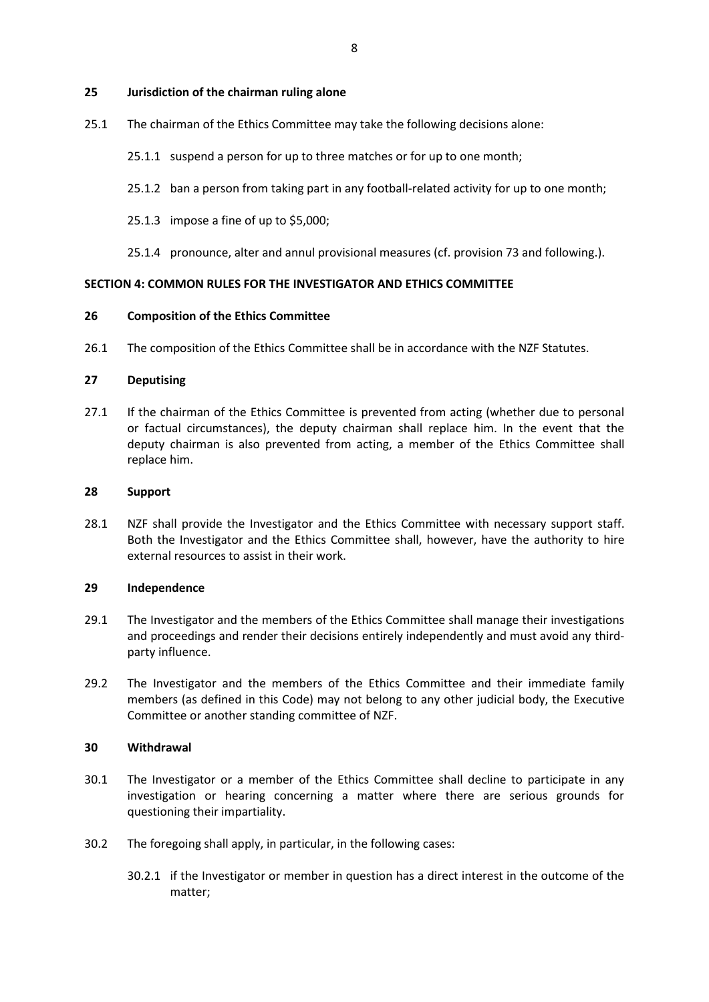#### <span id="page-12-0"></span>**25 Jurisdiction of the chairman ruling alone**

- 25.1 The chairman of the Ethics Committee may take the following decisions alone:
	- 25.1.1 suspend a person for up to three matches or for up to one month;
	- 25.1.2 ban a person from taking part in any football-related activity for up to one month;
	- 25.1.3 impose a fine of up to \$5,000;
	- 25.1.4 pronounce, alter and annul provisional measures (cf. provision 73 and following.).

#### **SECTION 4: COMMON RULES FOR THE INVESTIGATOR AND ETHICS COMMITTEE**

#### <span id="page-12-1"></span>**26 Composition of the Ethics Committee**

26.1 The composition of the Ethics Committee shall be in accordance with the NZF Statutes.

#### <span id="page-12-2"></span>**27 Deputising**

27.1 If the chairman of the Ethics Committee is prevented from acting (whether due to personal or factual circumstances), the deputy chairman shall replace him. In the event that the deputy chairman is also prevented from acting, a member of the Ethics Committee shall replace him.

#### <span id="page-12-3"></span>**28 Support**

28.1 NZF shall provide the Investigator and the Ethics Committee with necessary support staff. Both the Investigator and the Ethics Committee shall, however, have the authority to hire external resources to assist in their work.

#### <span id="page-12-4"></span>**29 Independence**

- 29.1 The Investigator and the members of the Ethics Committee shall manage their investigations and proceedings and render their decisions entirely independently and must avoid any thirdparty influence.
- 29.2 The Investigator and the members of the Ethics Committee and their immediate family members (as defined in this Code) may not belong to any other judicial body, the Executive Committee or another standing committee of NZF.

#### <span id="page-12-5"></span>**30 Withdrawal**

- 30.1 The Investigator or a member of the Ethics Committee shall decline to participate in any investigation or hearing concerning a matter where there are serious grounds for questioning their impartiality.
- 30.2 The foregoing shall apply, in particular, in the following cases:
	- 30.2.1 if the Investigator or member in question has a direct interest in the outcome of the matter;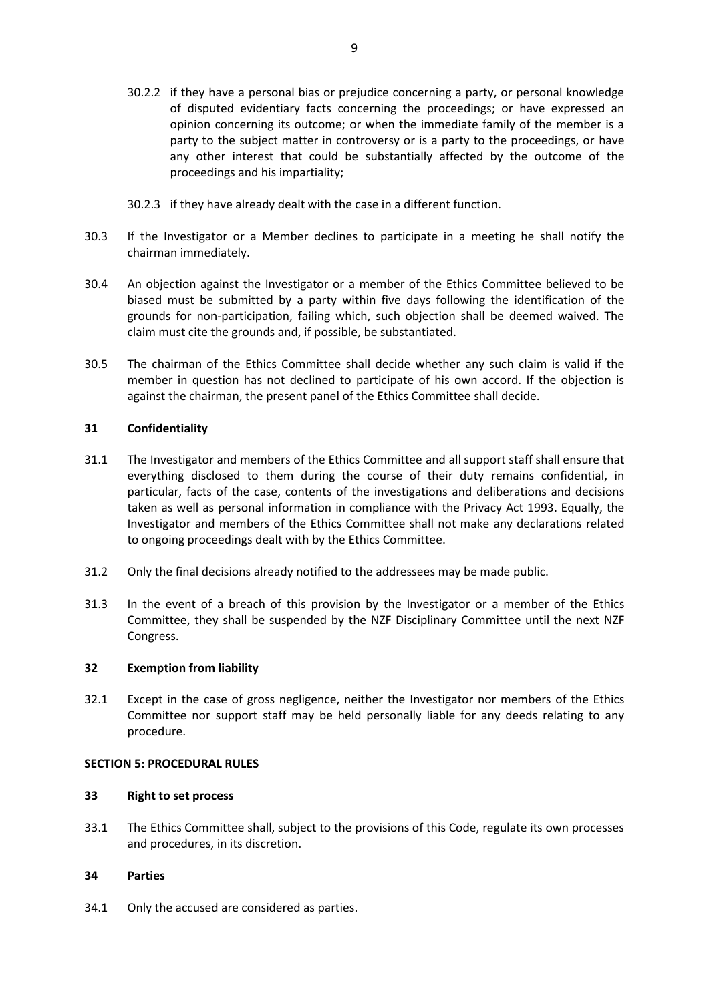- 30.2.2 if they have a personal bias or prejudice concerning a party, or personal knowledge of disputed evidentiary facts concerning the proceedings; or have expressed an opinion concerning its outcome; or when the immediate family of the member is a party to the subject matter in controversy or is a party to the proceedings, or have any other interest that could be substantially affected by the outcome of the proceedings and his impartiality;
- 30.2.3 if they have already dealt with the case in a different function.
- 30.3 If the Investigator or a Member declines to participate in a meeting he shall notify the chairman immediately.
- 30.4 An objection against the Investigator or a member of the Ethics Committee believed to be biased must be submitted by a party within five days following the identification of the grounds for non-participation, failing which, such objection shall be deemed waived. The claim must cite the grounds and, if possible, be substantiated.
- 30.5 The chairman of the Ethics Committee shall decide whether any such claim is valid if the member in question has not declined to participate of his own accord. If the objection is against the chairman, the present panel of the Ethics Committee shall decide.

### <span id="page-13-0"></span>**31 Confidentiality**

- 31.1 The Investigator and members of the Ethics Committee and all support staff shall ensure that everything disclosed to them during the course of their duty remains confidential, in particular, facts of the case, contents of the investigations and deliberations and decisions taken as well as personal information in compliance with the Privacy Act 1993. Equally, the Investigator and members of the Ethics Committee shall not make any declarations related to ongoing proceedings dealt with by the Ethics Committee.
- 31.2 Only the final decisions already notified to the addressees may be made public.
- 31.3 In the event of a breach of this provision by the Investigator or a member of the Ethics Committee, they shall be suspended by the NZF Disciplinary Committee until the next NZF Congress.

### <span id="page-13-1"></span>**32 Exemption from liability**

32.1 Except in the case of gross negligence, neither the Investigator nor members of the Ethics Committee nor support staff may be held personally liable for any deeds relating to any procedure.

### **SECTION 5: PROCEDURAL RULES**

### <span id="page-13-2"></span>**33 Right to set process**

33.1 The Ethics Committee shall, subject to the provisions of this Code, regulate its own processes and procedures, in its discretion.

### <span id="page-13-3"></span>**34 Parties**

34.1 Only the accused are considered as parties.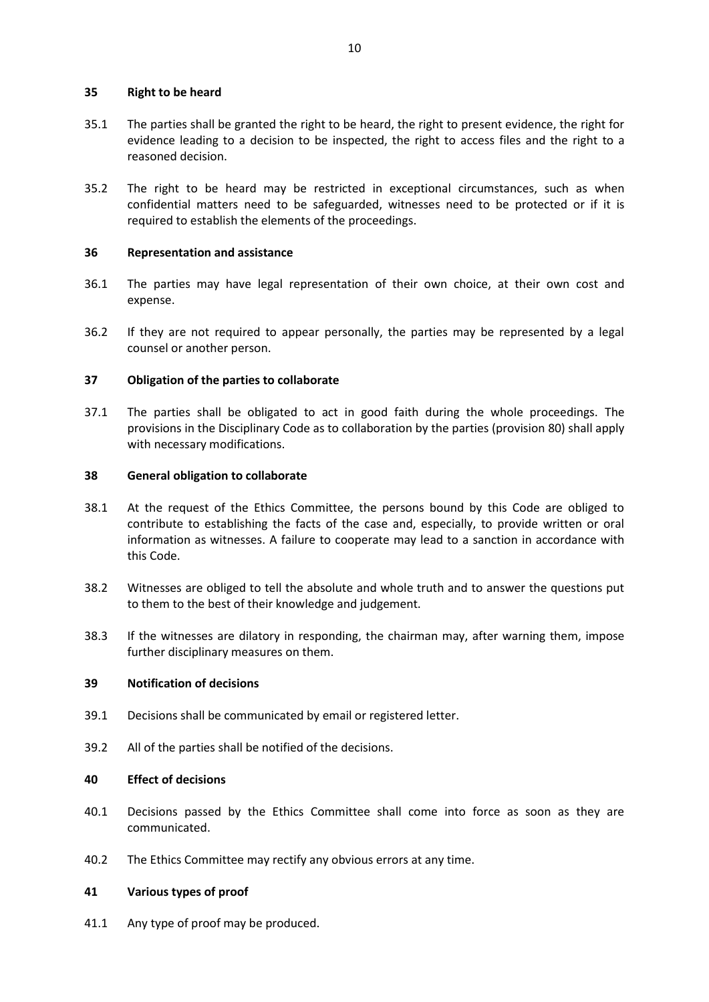### <span id="page-14-0"></span>**35 Right to be heard**

- 35.1 The parties shall be granted the right to be heard, the right to present evidence, the right for evidence leading to a decision to be inspected, the right to access files and the right to a reasoned decision.
- 35.2 The right to be heard may be restricted in exceptional circumstances, such as when confidential matters need to be safeguarded, witnesses need to be protected or if it is required to establish the elements of the proceedings.

#### <span id="page-14-1"></span>**36 Representation and assistance**

- 36.1 The parties may have legal representation of their own choice, at their own cost and expense.
- 36.2 If they are not required to appear personally, the parties may be represented by a legal counsel or another person.

#### <span id="page-14-2"></span>**37 Obligation of the parties to collaborate**

37.1 The parties shall be obligated to act in good faith during the whole proceedings. The provisions in the Disciplinary Code as to collaboration by the parties (provision 80) shall apply with necessary modifications.

#### <span id="page-14-3"></span>**38 General obligation to collaborate**

- 38.1 At the request of the Ethics Committee, the persons bound by this Code are obliged to contribute to establishing the facts of the case and, especially, to provide written or oral information as witnesses. A failure to cooperate may lead to a sanction in accordance with this Code.
- 38.2 Witnesses are obliged to tell the absolute and whole truth and to answer the questions put to them to the best of their knowledge and judgement.
- 38.3 If the witnesses are dilatory in responding, the chairman may, after warning them, impose further disciplinary measures on them.

### <span id="page-14-4"></span>**39 Notification of decisions**

- 39.1 Decisions shall be communicated by email or registered letter.
- 39.2 All of the parties shall be notified of the decisions.

### <span id="page-14-5"></span>**40 Effect of decisions**

- 40.1 Decisions passed by the Ethics Committee shall come into force as soon as they are communicated.
- 40.2 The Ethics Committee may rectify any obvious errors at any time.

### <span id="page-14-6"></span>**41 Various types of proof**

41.1 Any type of proof may be produced.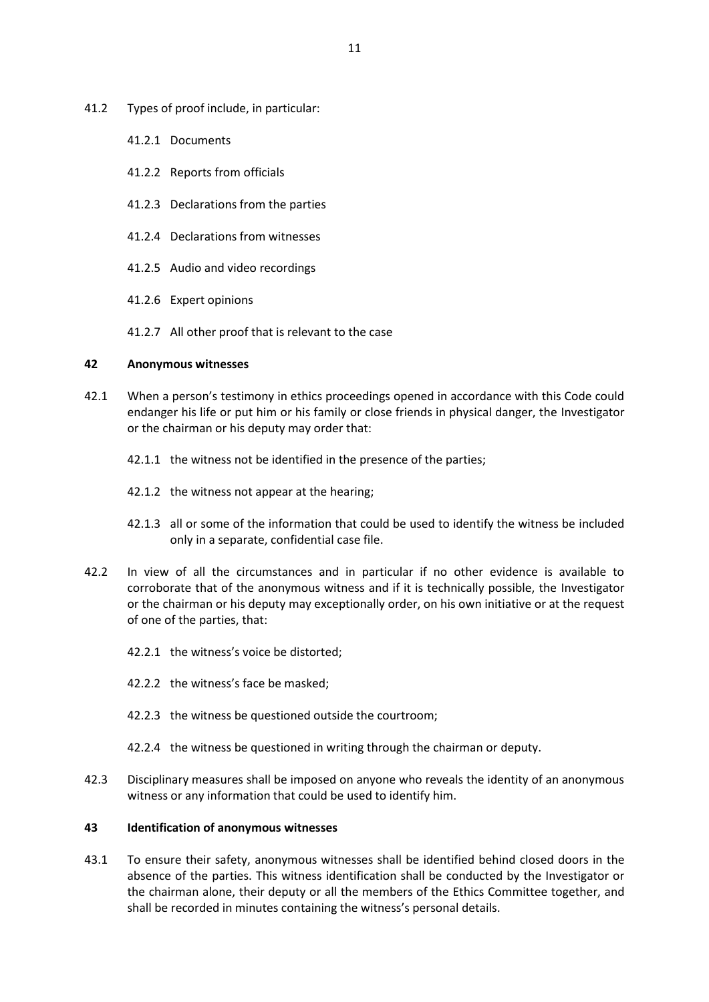- 41.2 Types of proof include, in particular:
	- 41.2.1 Documents
	- 41.2.2 Reports from officials
	- 41.2.3 Declarations from the parties
	- 41.2.4 Declarations from witnesses
	- 41.2.5 Audio and video recordings
	- 41.2.6 Expert opinions
	- 41.2.7 All other proof that is relevant to the case

### <span id="page-15-0"></span>**42 Anonymous witnesses**

- 42.1 When a person's testimony in ethics proceedings opened in accordance with this Code could endanger his life or put him or his family or close friends in physical danger, the Investigator or the chairman or his deputy may order that:
	- 42.1.1 the witness not be identified in the presence of the parties;
	- 42.1.2 the witness not appear at the hearing;
	- 42.1.3 all or some of the information that could be used to identify the witness be included only in a separate, confidential case file.
- 42.2 In view of all the circumstances and in particular if no other evidence is available to corroborate that of the anonymous witness and if it is technically possible, the Investigator or the chairman or his deputy may exceptionally order, on his own initiative or at the request of one of the parties, that:
	- 42.2.1 the witness's voice be distorted;
	- 42.2.2 the witness's face be masked;
	- 42.2.3 the witness be questioned outside the courtroom;
	- 42.2.4 the witness be questioned in writing through the chairman or deputy.
- 42.3 Disciplinary measures shall be imposed on anyone who reveals the identity of an anonymous witness or any information that could be used to identify him.

### <span id="page-15-1"></span>**43 Identification of anonymous witnesses**

43.1 To ensure their safety, anonymous witnesses shall be identified behind closed doors in the absence of the parties. This witness identification shall be conducted by the Investigator or the chairman alone, their deputy or all the members of the Ethics Committee together, and shall be recorded in minutes containing the witness's personal details.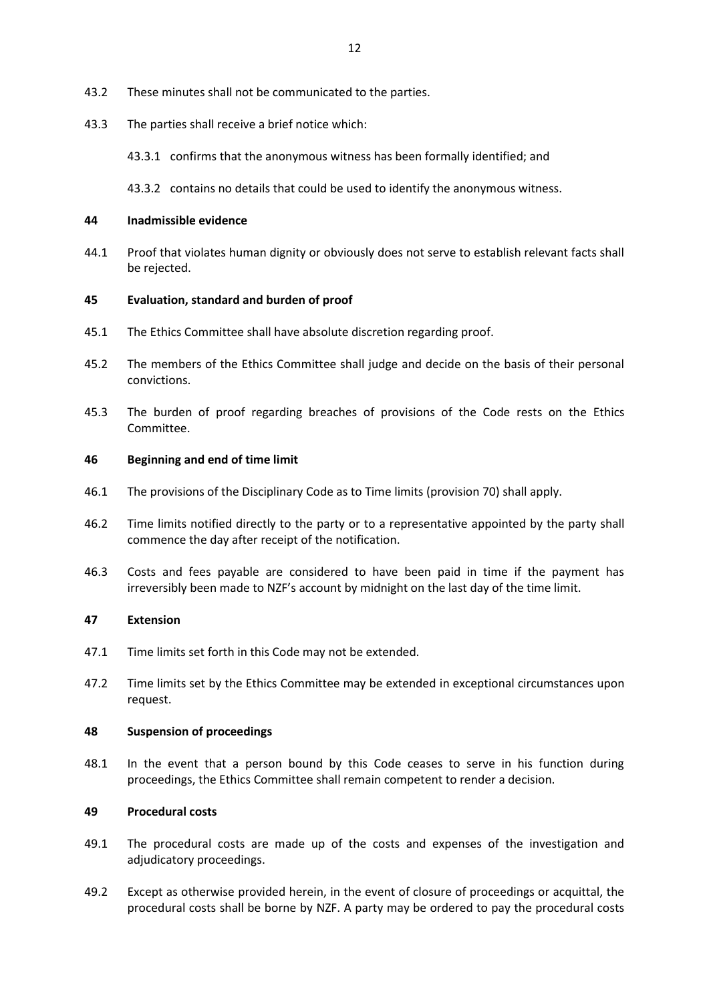- 43.2 These minutes shall not be communicated to the parties.
- 43.3 The parties shall receive a brief notice which:

43.3.1 confirms that the anonymous witness has been formally identified; and

43.3.2 contains no details that could be used to identify the anonymous witness.

#### <span id="page-16-0"></span>**44 Inadmissible evidence**

44.1 Proof that violates human dignity or obviously does not serve to establish relevant facts shall be rejected.

#### <span id="page-16-1"></span>**45 Evaluation, standard and burden of proof**

- 45.1 The Ethics Committee shall have absolute discretion regarding proof.
- 45.2 The members of the Ethics Committee shall judge and decide on the basis of their personal convictions.
- 45.3 The burden of proof regarding breaches of provisions of the Code rests on the Ethics Committee.

#### <span id="page-16-2"></span>**46 Beginning and end of time limit**

- 46.1 The provisions of the Disciplinary Code as to Time limits (provision 70) shall apply.
- 46.2 Time limits notified directly to the party or to a representative appointed by the party shall commence the day after receipt of the notification.
- 46.3 Costs and fees payable are considered to have been paid in time if the payment has irreversibly been made to NZF's account by midnight on the last day of the time limit.

#### <span id="page-16-3"></span>**47 Extension**

- 47.1 Time limits set forth in this Code may not be extended.
- 47.2 Time limits set by the Ethics Committee may be extended in exceptional circumstances upon request.

#### <span id="page-16-4"></span>**48 Suspension of proceedings**

48.1 In the event that a person bound by this Code ceases to serve in his function during proceedings, the Ethics Committee shall remain competent to render a decision.

#### <span id="page-16-5"></span>**49 Procedural costs**

- 49.1 The procedural costs are made up of the costs and expenses of the investigation and adjudicatory proceedings.
- 49.2 Except as otherwise provided herein, in the event of closure of proceedings or acquittal, the procedural costs shall be borne by NZF. A party may be ordered to pay the procedural costs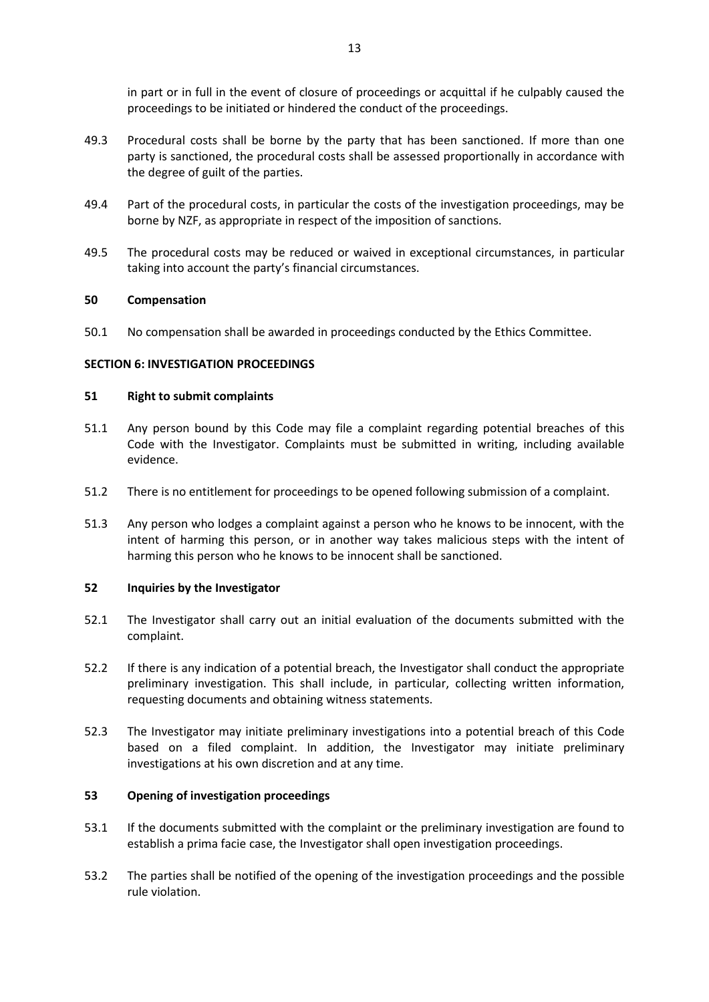in part or in full in the event of closure of proceedings or acquittal if he culpably caused the proceedings to be initiated or hindered the conduct of the proceedings.

- 49.3 Procedural costs shall be borne by the party that has been sanctioned. If more than one party is sanctioned, the procedural costs shall be assessed proportionally in accordance with the degree of guilt of the parties.
- 49.4 Part of the procedural costs, in particular the costs of the investigation proceedings, may be borne by NZF, as appropriate in respect of the imposition of sanctions.
- 49.5 The procedural costs may be reduced or waived in exceptional circumstances, in particular taking into account the party's financial circumstances.

### <span id="page-17-0"></span>**50 Compensation**

50.1 No compensation shall be awarded in proceedings conducted by the Ethics Committee.

#### **SECTION 6: INVESTIGATION PROCEEDINGS**

#### <span id="page-17-1"></span>**51 Right to submit complaints**

- 51.1 Any person bound by this Code may file a complaint regarding potential breaches of this Code with the Investigator. Complaints must be submitted in writing, including available evidence.
- 51.2 There is no entitlement for proceedings to be opened following submission of a complaint.
- 51.3 Any person who lodges a complaint against a person who he knows to be innocent, with the intent of harming this person, or in another way takes malicious steps with the intent of harming this person who he knows to be innocent shall be sanctioned.

#### <span id="page-17-2"></span>**52 Inquiries by the Investigator**

- 52.1 The Investigator shall carry out an initial evaluation of the documents submitted with the complaint.
- 52.2 If there is any indication of a potential breach, the Investigator shall conduct the appropriate preliminary investigation. This shall include, in particular, collecting written information, requesting documents and obtaining witness statements.
- 52.3 The Investigator may initiate preliminary investigations into a potential breach of this Code based on a filed complaint. In addition, the Investigator may initiate preliminary investigations at his own discretion and at any time.

#### <span id="page-17-3"></span>**53 Opening of investigation proceedings**

- 53.1 If the documents submitted with the complaint or the preliminary investigation are found to establish a prima facie case, the Investigator shall open investigation proceedings.
- 53.2 The parties shall be notified of the opening of the investigation proceedings and the possible rule violation.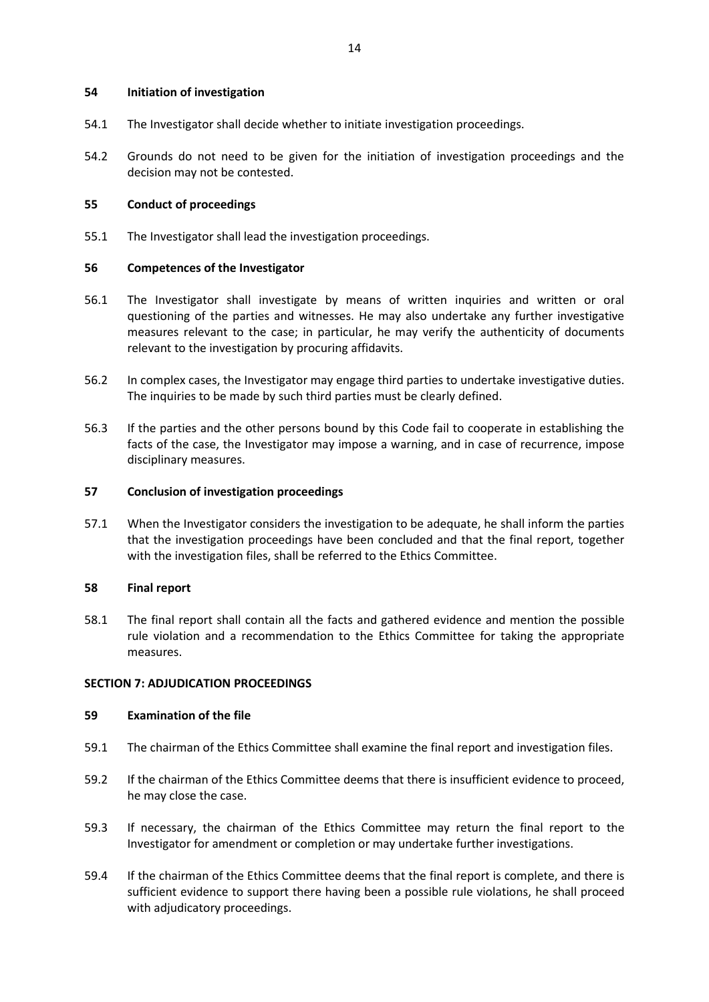#### <span id="page-18-0"></span>**54 Initiation of investigation**

- 54.1 The Investigator shall decide whether to initiate investigation proceedings.
- 54.2 Grounds do not need to be given for the initiation of investigation proceedings and the decision may not be contested.

#### <span id="page-18-1"></span>**55 Conduct of proceedings**

55.1 The Investigator shall lead the investigation proceedings.

#### <span id="page-18-2"></span>**56 Competences of the Investigator**

- 56.1 The Investigator shall investigate by means of written inquiries and written or oral questioning of the parties and witnesses. He may also undertake any further investigative measures relevant to the case; in particular, he may verify the authenticity of documents relevant to the investigation by procuring affidavits.
- 56.2 In complex cases, the Investigator may engage third parties to undertake investigative duties. The inquiries to be made by such third parties must be clearly defined.
- 56.3 If the parties and the other persons bound by this Code fail to cooperate in establishing the facts of the case, the Investigator may impose a warning, and in case of recurrence, impose disciplinary measures.

#### <span id="page-18-3"></span>**57 Conclusion of investigation proceedings**

57.1 When the Investigator considers the investigation to be adequate, he shall inform the parties that the investigation proceedings have been concluded and that the final report, together with the investigation files, shall be referred to the Ethics Committee.

#### <span id="page-18-4"></span>**58 Final report**

58.1 The final report shall contain all the facts and gathered evidence and mention the possible rule violation and a recommendation to the Ethics Committee for taking the appropriate measures.

### **SECTION 7: ADJUDICATION PROCEEDINGS**

#### <span id="page-18-5"></span>**59 Examination of the file**

- 59.1 The chairman of the Ethics Committee shall examine the final report and investigation files.
- 59.2 If the chairman of the Ethics Committee deems that there is insufficient evidence to proceed, he may close the case.
- 59.3 If necessary, the chairman of the Ethics Committee may return the final report to the Investigator for amendment or completion or may undertake further investigations.
- 59.4 If the chairman of the Ethics Committee deems that the final report is complete, and there is sufficient evidence to support there having been a possible rule violations, he shall proceed with adjudicatory proceedings.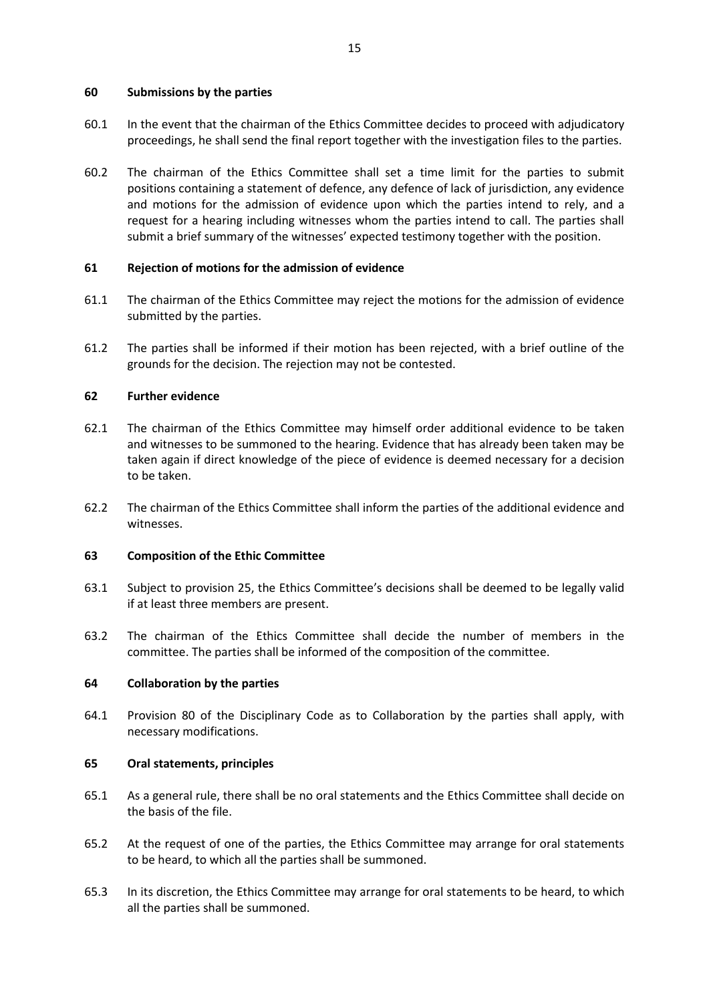### <span id="page-19-0"></span>**60 Submissions by the parties**

- 60.1 In the event that the chairman of the Ethics Committee decides to proceed with adjudicatory proceedings, he shall send the final report together with the investigation files to the parties.
- 60.2 The chairman of the Ethics Committee shall set a time limit for the parties to submit positions containing a statement of defence, any defence of lack of jurisdiction, any evidence and motions for the admission of evidence upon which the parties intend to rely, and a request for a hearing including witnesses whom the parties intend to call. The parties shall submit a brief summary of the witnesses' expected testimony together with the position.

### <span id="page-19-1"></span>**61 Rejection of motions for the admission of evidence**

- 61.1 The chairman of the Ethics Committee may reject the motions for the admission of evidence submitted by the parties.
- 61.2 The parties shall be informed if their motion has been rejected, with a brief outline of the grounds for the decision. The rejection may not be contested.

### <span id="page-19-2"></span>**62 Further evidence**

- 62.1 The chairman of the Ethics Committee may himself order additional evidence to be taken and witnesses to be summoned to the hearing. Evidence that has already been taken may be taken again if direct knowledge of the piece of evidence is deemed necessary for a decision to be taken.
- 62.2 The chairman of the Ethics Committee shall inform the parties of the additional evidence and witnesses.

### <span id="page-19-3"></span>**63 Composition of the Ethic Committee**

- 63.1 Subject to provision 25, the Ethics Committee's decisions shall be deemed to be legally valid if at least three members are present.
- 63.2 The chairman of the Ethics Committee shall decide the number of members in the committee. The parties shall be informed of the composition of the committee.

### <span id="page-19-4"></span>**64 Collaboration by the parties**

64.1 Provision 80 of the Disciplinary Code as to Collaboration by the parties shall apply, with necessary modifications.

### <span id="page-19-5"></span>**65 Oral statements, principles**

- 65.1 As a general rule, there shall be no oral statements and the Ethics Committee shall decide on the basis of the file.
- 65.2 At the request of one of the parties, the Ethics Committee may arrange for oral statements to be heard, to which all the parties shall be summoned.
- 65.3 In its discretion, the Ethics Committee may arrange for oral statements to be heard, to which all the parties shall be summoned.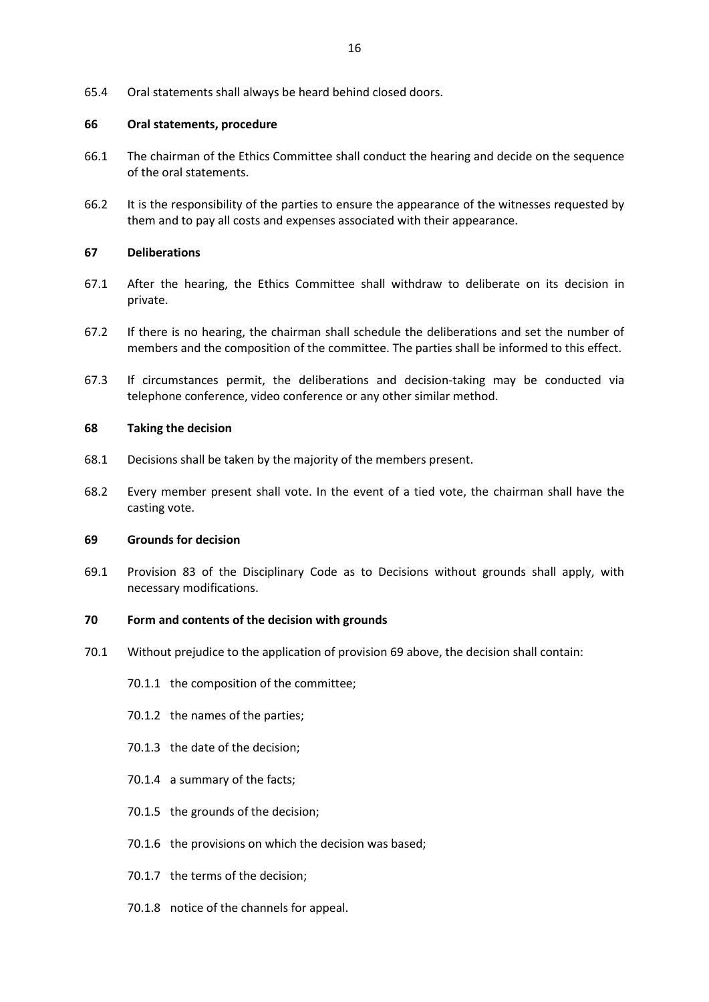65.4 Oral statements shall always be heard behind closed doors.

### <span id="page-20-0"></span>**66 Oral statements, procedure**

- 66.1 The chairman of the Ethics Committee shall conduct the hearing and decide on the sequence of the oral statements.
- 66.2 It is the responsibility of the parties to ensure the appearance of the witnesses requested by them and to pay all costs and expenses associated with their appearance.

#### <span id="page-20-1"></span>**67 Deliberations**

- 67.1 After the hearing, the Ethics Committee shall withdraw to deliberate on its decision in private.
- 67.2 If there is no hearing, the chairman shall schedule the deliberations and set the number of members and the composition of the committee. The parties shall be informed to this effect.
- 67.3 If circumstances permit, the deliberations and decision-taking may be conducted via telephone conference, video conference or any other similar method.

#### <span id="page-20-2"></span>**68 Taking the decision**

- 68.1 Decisions shall be taken by the majority of the members present.
- 68.2 Every member present shall vote. In the event of a tied vote, the chairman shall have the casting vote.

#### <span id="page-20-3"></span>**69 Grounds for decision**

69.1 Provision 83 of the Disciplinary Code as to Decisions without grounds shall apply, with necessary modifications.

#### <span id="page-20-4"></span>**70 Form and contents of the decision with grounds**

- 70.1 Without prejudice to the application of provision 69 above, the decision shall contain:
	- 70.1.1 the composition of the committee;
	- 70.1.2 the names of the parties;
	- 70.1.3 the date of the decision;
	- 70.1.4 a summary of the facts;
	- 70.1.5 the grounds of the decision;
	- 70.1.6 the provisions on which the decision was based;
	- 70.1.7 the terms of the decision;
	- 70.1.8 notice of the channels for appeal.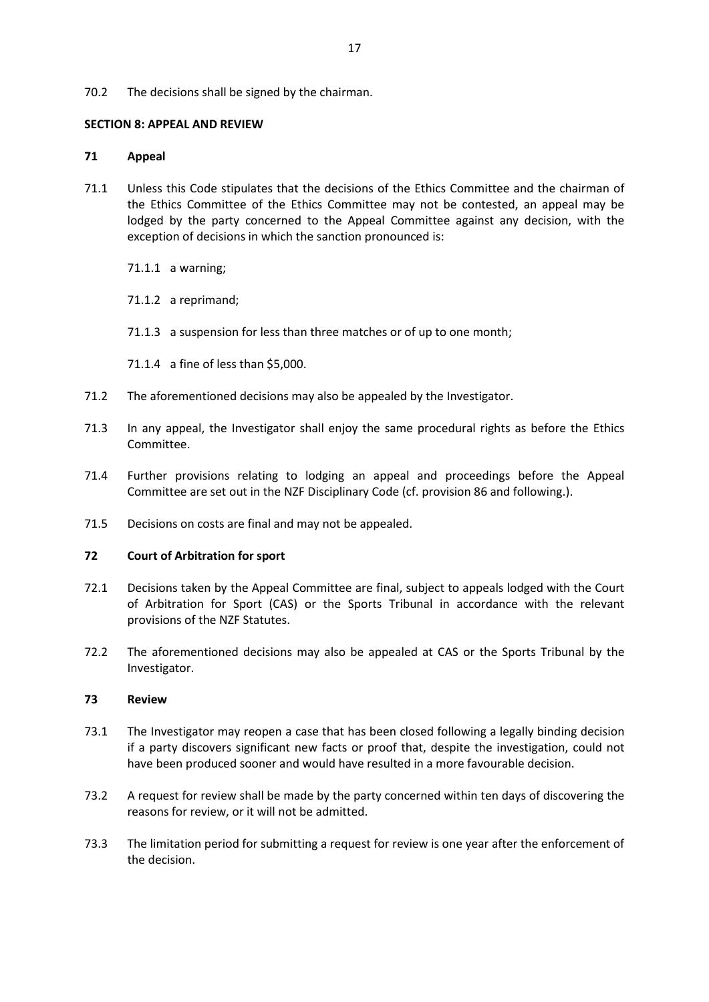#### 70.2 The decisions shall be signed by the chairman.

#### **SECTION 8: APPEAL AND REVIEW**

#### <span id="page-21-0"></span>**71 Appeal**

- 71.1 Unless this Code stipulates that the decisions of the Ethics Committee and the chairman of the Ethics Committee of the Ethics Committee may not be contested, an appeal may be lodged by the party concerned to the Appeal Committee against any decision, with the exception of decisions in which the sanction pronounced is:
	- 71.1.1 a warning;
	- 71.1.2 a reprimand;
	- 71.1.3 a suspension for less than three matches or of up to one month;
	- 71.1.4 a fine of less than \$5,000.
- 71.2 The aforementioned decisions may also be appealed by the Investigator.
- 71.3 In any appeal, the Investigator shall enjoy the same procedural rights as before the Ethics Committee.
- 71.4 Further provisions relating to lodging an appeal and proceedings before the Appeal Committee are set out in the NZF Disciplinary Code (cf. provision 86 and following.).
- 71.5 Decisions on costs are final and may not be appealed.

#### <span id="page-21-1"></span>**72 Court of Arbitration for sport**

- 72.1 Decisions taken by the Appeal Committee are final, subject to appeals lodged with the Court of Arbitration for Sport (CAS) or the Sports Tribunal in accordance with the relevant provisions of the NZF Statutes.
- 72.2 The aforementioned decisions may also be appealed at CAS or the Sports Tribunal by the Investigator.

#### <span id="page-21-2"></span>**73 Review**

- 73.1 The Investigator may reopen a case that has been closed following a legally binding decision if a party discovers significant new facts or proof that, despite the investigation, could not have been produced sooner and would have resulted in a more favourable decision.
- 73.2 A request for review shall be made by the party concerned within ten days of discovering the reasons for review, or it will not be admitted.
- 73.3 The limitation period for submitting a request for review is one year after the enforcement of the decision.